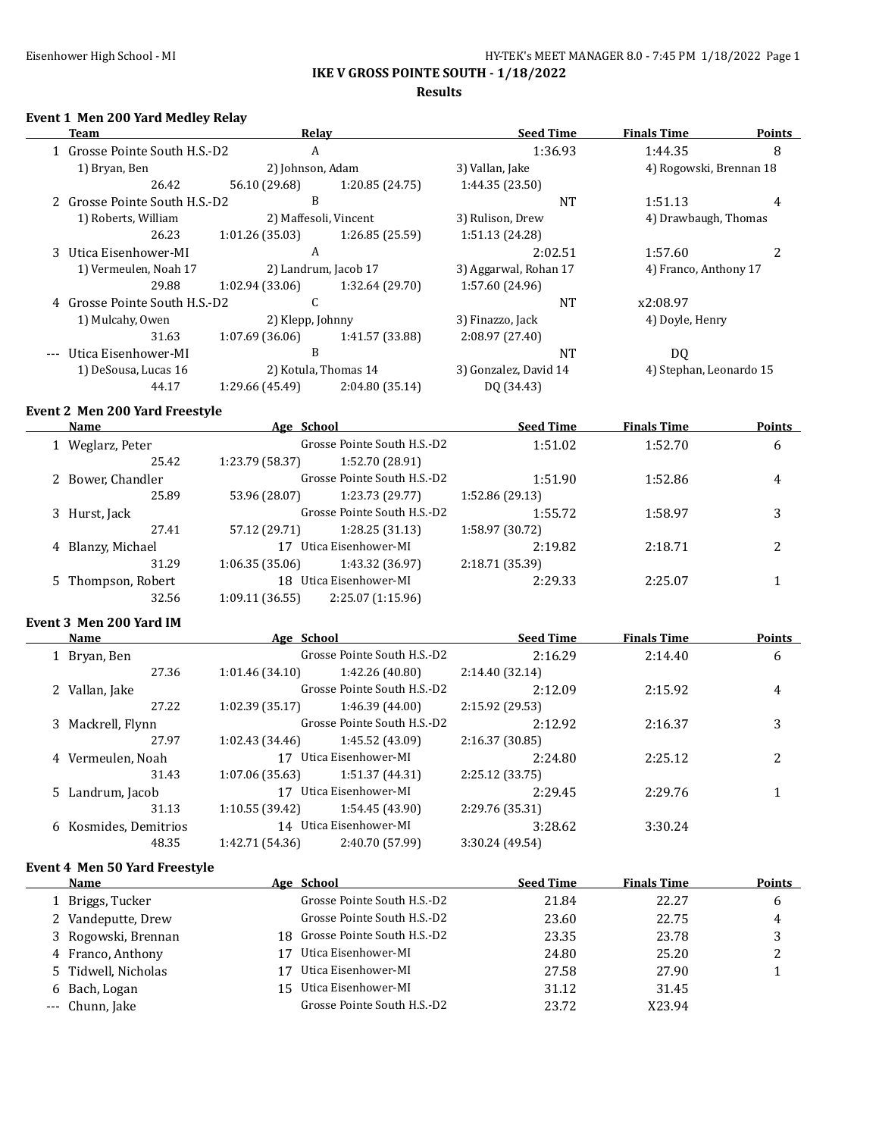**Results**

## **Event 1 Men 200 Yard Medley Relay**

| Team                          | Relay                 |                      | <b>Seed Time</b>      | <b>Finals Time</b>      | <b>Points</b> |
|-------------------------------|-----------------------|----------------------|-----------------------|-------------------------|---------------|
| 1 Grosse Pointe South H.S.-D2 | A                     |                      | 1:36.93               | 1:44.35                 | 8             |
| 1) Bryan, Ben                 | 2) Johnson, Adam      |                      | 3) Vallan, Jake       | 4) Rogowski, Brennan 18 |               |
| 26.42                         | 56.10 (29.68)         | 1:20.85 (24.75)      | 1:44.35(23.50)        |                         |               |
| 2 Grosse Pointe South H.S.-D2 | B                     |                      | NT                    | 1:51.13                 | 4             |
| 1) Roberts, William           | 2) Maffesoli, Vincent |                      | 3) Rulison, Drew      | 4) Drawbaugh, Thomas    |               |
| 26.23                         | 1:01.26(35.03)        | 1:26.85(25.59)       | 1:51.13 (24.28)       |                         |               |
| 3 Utica Eisenhower-MI         | A                     |                      | 2:02.51               | 1:57.60                 |               |
| 1) Vermeulen, Noah 17         | 2) Landrum, Jacob 17  |                      | 3) Aggarwal, Rohan 17 | 4) Franco, Anthony 17   |               |
| 29.88                         | 1:02.94(33.06)        | 1:32.64 (29.70)      | 1:57.60 (24.96)       |                         |               |
| 4 Grosse Pointe South H.S.-D2 | C                     |                      | <b>NT</b>             | x2:08.97                |               |
| 1) Mulcahy, Owen              | 2) Klepp, Johnny      |                      | 3) Finazzo, Jack      | 4) Doyle, Henry         |               |
| 31.63                         | 1:07.69(36.06)        | 1:41.57 (33.88)      | 2:08.97(27.40)        |                         |               |
| --- Utica Eisenhower-MI       | B                     |                      | <b>NT</b>             | DQ                      |               |
| 1) DeSousa, Lucas 16          |                       | 2) Kotula, Thomas 14 | 3) Gonzalez, David 14 | 4) Stephan, Leonardo 15 |               |
| 44.17                         | 1:29.66 (45.49)       | 2:04.80 (35.14)      | DQ (34.43)            |                         |               |

### **Event 2 Men 200 Yard Freestyle**

| Name           |                                                                               |                   | <b>Seed Time</b>                                                                                                          | <b>Finals Time</b> | <b>Points</b> |
|----------------|-------------------------------------------------------------------------------|-------------------|---------------------------------------------------------------------------------------------------------------------------|--------------------|---------------|
| Weglarz, Peter | Grosse Pointe South H.S.-D2                                                   |                   | 1:51.02                                                                                                                   | 1:52.70            | 6             |
| 25.42          | 1:23.79 (58.37)                                                               | 1:52.70 (28.91)   |                                                                                                                           |                    |               |
|                |                                                                               |                   | 1:51.90                                                                                                                   | 1:52.86            | 4             |
| 25.89          | 53.96 (28.07)                                                                 | 1:23.73 (29.77)   | 1:52.86 (29.13)                                                                                                           |                    |               |
|                |                                                                               |                   | 1:55.72                                                                                                                   | 1:58.97            | 3             |
| 27.41          | 57.12 (29.71)                                                                 | 1:28.25(31.13)    | 1:58.97 (30.72)                                                                                                           |                    |               |
|                | 17                                                                            |                   | 2:19.82                                                                                                                   | 2:18.71            | 2             |
| 31.29          | 1:06.35(35.06)                                                                | 1:43.32 (36.97)   | 2:18.71 (35.39)                                                                                                           |                    |               |
|                |                                                                               |                   | 2:29.33                                                                                                                   | 2:25.07            |               |
| 32.56          | 1:09.11(36.55)                                                                | 2:25.07 (1:15.96) |                                                                                                                           |                    |               |
|                | 2 Bower, Chandler<br>3 Hurst, Jack<br>4 Blanzy, Michael<br>5 Thompson, Robert |                   | Age School<br>Grosse Pointe South H.S.-D2<br>Grosse Pointe South H.S.-D2<br>Utica Eisenhower-MI<br>18 Utica Eisenhower-MI |                    |               |

#### **Event 3 Men 200 Yard IM**

 $\overline{a}$ 

 $\overline{\phantom{0}}$ 

|   | <b>Name</b>           | Age School      |                             | <b>Seed Time</b> | <b>Finals Time</b> | <b>Points</b> |
|---|-----------------------|-----------------|-----------------------------|------------------|--------------------|---------------|
|   | 1 Bryan, Ben          |                 | Grosse Pointe South H.S.-D2 | 2:16.29          | 2:14.40            | 6             |
|   | 27.36                 | 1:01.46(34.10)  | 1:42.26 (40.80)             | 2:14.40(32.14)   |                    |               |
| 2 | Vallan, Jake          |                 | Grosse Pointe South H.S.-D2 | 2:12.09          | 2:15.92            | 4             |
|   | 27.22                 | 1:02.39(35.17)  | 1:46.39 (44.00)             | 2:15.92 (29.53)  |                    |               |
|   | 3 Mackrell, Flynn     |                 | Grosse Pointe South H.S.-D2 | 2:12.92          | 2:16.37            | 3             |
|   | 27.97                 | 1:02.43(34.46)  | 1:45.52 (43.09)             | 2:16.37 (30.85)  |                    |               |
|   | 4 Vermeulen, Noah     | 17              | Utica Eisenhower-MI         | 2:24.80          | 2:25.12            | 2             |
|   | 31.43                 | 1:07.06(35.63)  | 1:51.37(44.31)              | 2:25.12 (33.75)  |                    |               |
|   | 5 Landrum, Jacob      |                 | 17 Utica Eisenhower-MI      | 2:29.45          | 2:29.76            |               |
|   | 31.13                 | 1:10.55 (39.42) | 1:54.45 (43.90)             | 2:29.76 (35.31)  |                    |               |
|   | 6 Kosmides, Demitrios |                 | 14 Utica Eisenhower-MI      | 3:28.62          | 3:30.24            |               |
|   | 48.35                 | 1:42.71 (54.36) | 2:40.70 (57.99)             | 3:30.24 (49.54)  |                    |               |

### **Event 4 Men 50 Yard Freestyle**

| <b>Name</b>         |     | Age School                     | <b>Seed Time</b> | <b>Finals Time</b> | <b>Points</b> |
|---------------------|-----|--------------------------------|------------------|--------------------|---------------|
| 1 Briggs, Tucker    |     | Grosse Pointe South H.S.-D2    | 21.84            | 22.27              | b             |
| 2 Vandeputte, Drew  |     | Grosse Pointe South H.S.-D2    | 23.60            | 22.75              | 4             |
| 3 Rogowski, Brennan |     | 18 Grosse Pointe South H.S.-D2 | 23.35            | 23.78              |               |
| 4 Franco, Anthony   | 17  | Utica Eisenhower-MI            | 24.80            | 25.20              | າ<br>∸        |
| 5 Tidwell, Nicholas | 17  | Utica Eisenhower-MI            | 27.58            | 27.90              |               |
| 6 Bach, Logan       | 15. | Utica Eisenhower-MI            | 31.12            | 31.45              |               |
| --- Chunn, Jake     |     | Grosse Pointe South H.S.-D2    | 23.72            | X23.94             |               |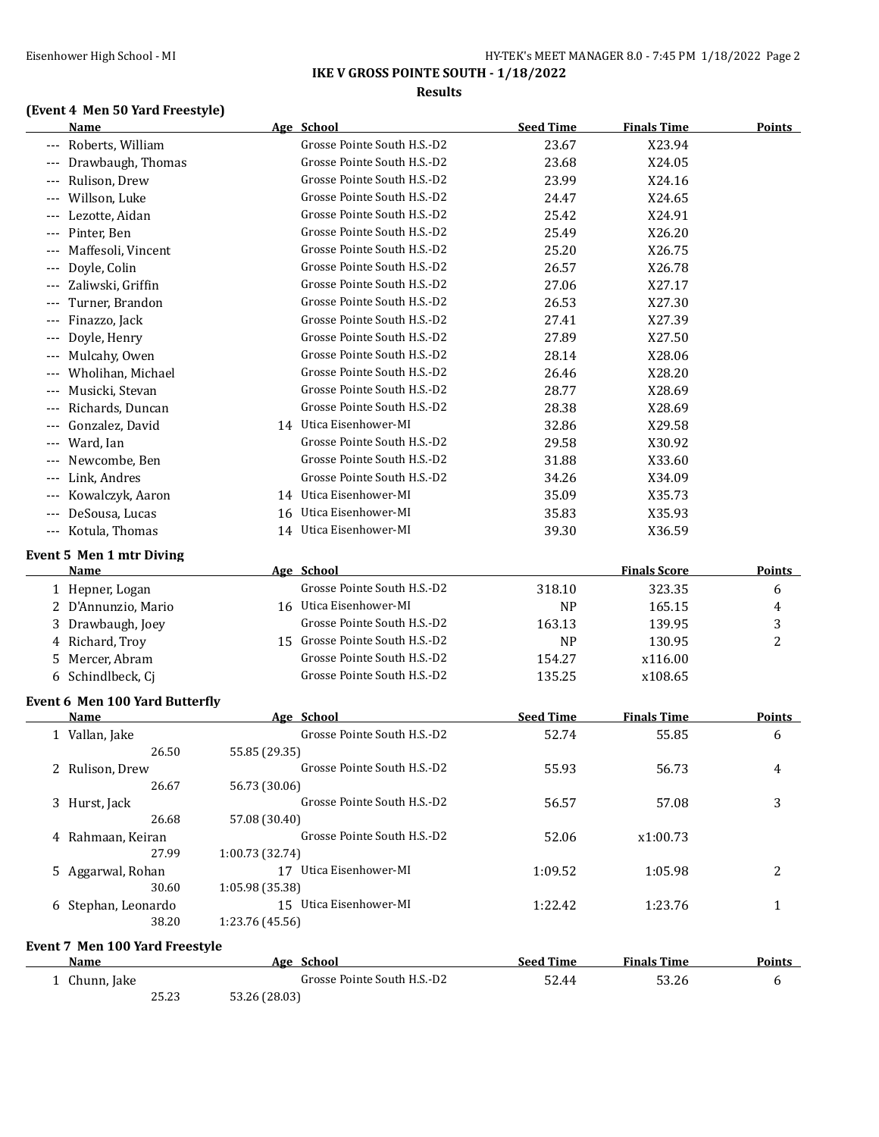**IKE V GROSS POINTE SOUTH - 1/18/2022 Results**

## **(Event 4 Men 50 Yard Freestyle)**

|                     | Name                           | Age School                     | <b>Seed Time</b> | <b>Finals Time</b>  | <b>Points</b> |
|---------------------|--------------------------------|--------------------------------|------------------|---------------------|---------------|
|                     | Roberts, William               | Grosse Pointe South H.S.-D2    | 23.67            | X23.94              |               |
|                     | Drawbaugh, Thomas              | Grosse Pointe South H.S.-D2    | 23.68            | X24.05              |               |
|                     | Rulison, Drew                  | Grosse Pointe South H.S.-D2    | 23.99            | X24.16              |               |
|                     | Willson, Luke                  | Grosse Pointe South H.S.-D2    | 24.47            | X24.65              |               |
|                     | Lezotte, Aidan                 | Grosse Pointe South H.S.-D2    | 25.42            | X24.91              |               |
|                     | Pinter, Ben                    | Grosse Pointe South H.S.-D2    | 25.49            | X26.20              |               |
|                     | Maffesoli, Vincent             | Grosse Pointe South H.S.-D2    | 25.20            | X26.75              |               |
|                     | Doyle, Colin                   | Grosse Pointe South H.S.-D2    | 26.57            | X26.78              |               |
|                     | Zaliwski, Griffin              | Grosse Pointe South H.S.-D2    | 27.06            | X27.17              |               |
|                     | Turner, Brandon                | Grosse Pointe South H.S.-D2    | 26.53            | X27.30              |               |
|                     | Finazzo, Jack                  | Grosse Pointe South H.S.-D2    | 27.41            | X27.39              |               |
|                     | Doyle, Henry                   | Grosse Pointe South H.S.-D2    | 27.89            | X27.50              |               |
|                     | Mulcahy, Owen                  | Grosse Pointe South H.S.-D2    | 28.14            | X28.06              |               |
|                     | Wholihan, Michael              | Grosse Pointe South H.S.-D2    | 26.46            | X28.20              |               |
|                     | Musicki, Stevan                | Grosse Pointe South H.S.-D2    | 28.77            | X28.69              |               |
|                     | Richards, Duncan               | Grosse Pointe South H.S.-D2    | 28.38            | X28.69              |               |
|                     | Gonzalez, David                | 14 Utica Eisenhower-MI         | 32.86            | X29.58              |               |
|                     | Ward, Ian                      | Grosse Pointe South H.S.-D2    | 29.58            | X30.92              |               |
|                     | Newcombe, Ben                  | Grosse Pointe South H.S.-D2    | 31.88            | X33.60              |               |
|                     | Link, Andres                   | Grosse Pointe South H.S.-D2    | 34.26            | X34.09              |               |
|                     | Kowalczyk, Aaron               | 14 Utica Eisenhower-MI         | 35.09            | X35.73              |               |
|                     | DeSousa, Lucas                 | 16 Utica Eisenhower-MI         | 35.83            | X35.93              |               |
| $\qquad \qquad - -$ | Kotula, Thomas                 | 14 Utica Eisenhower-MI         | 39.30            | X36.59              |               |
|                     |                                |                                |                  |                     |               |
|                     | Event 5 Men 1 mtr Diving       |                                |                  |                     |               |
|                     | Name                           | Age School                     |                  | <b>Finals Score</b> | <b>Points</b> |
|                     | 1 Hepner, Logan                | Grosse Pointe South H.S.-D2    | 318.10           | 323.35              | 6             |
|                     | 2 D'Annunzio, Mario            | 16 Utica Eisenhower-MI         | <b>NP</b>        | 165.15              | 4             |
|                     | Drawbaugh, Joey                | Grosse Pointe South H.S.-D2    | 163.13           | 139.95              | 3             |
|                     | 4 Richard, Troy                | 15 Grosse Pointe South H.S.-D2 | <b>NP</b>        | 130.95              | 2             |
|                     | 5 Mercer, Abram                | Grosse Pointe South H.S.-D2    | 154.27           | x116.00             |               |
|                     | 6 Schindlbeck, Cj              | Grosse Pointe South H.S.-D2    | 135.25           | x108.65             |               |
|                     | Event 6 Men 100 Yard Butterfly |                                |                  |                     |               |
|                     | <b>Name</b>                    | Age School                     | <b>Seed Time</b> | <b>Finals Time</b>  | <b>Points</b> |
|                     | 1 Vallan, Jake                 | Grosse Pointe South H.S.-D2    | 52.74            | 55.85               | 6             |
|                     | 26.50                          | 55.85 (29.35)                  |                  |                     |               |
|                     | 2 Rulison, Drew                | Grosse Pointe South H.S.-D2    | 55.93            | 56.73               | 4             |
|                     | 26.67                          | 56.73 (30.06)                  |                  |                     |               |
|                     | 3 Hurst, Jack                  | Grosse Pointe South H.S.-D2    | 56.57            | 57.08               | 3             |
|                     | 26.68                          | 57.08 (30.40)                  |                  |                     |               |
|                     | 4 Rahmaan, Keiran              | Grosse Pointe South H.S.-D2    | 52.06            | x1:00.73            |               |
|                     | 27.99                          | 1:00.73 (32.74)                |                  |                     |               |
|                     | 5 Aggarwal, Rohan              | 17 Utica Eisenhower-MI         | 1:09.52          | 1:05.98             | 2             |
|                     | 30.60                          | 1:05.98 (35.38)                |                  |                     |               |
|                     | 6 Stephan, Leonardo            | 15 Utica Eisenhower-MI         | 1:22.42          | 1:23.76             | 1             |
|                     | 38.20                          | 1:23.76 (45.56)                |                  |                     |               |
|                     | Event 7 Men 100 Yard Freestyle |                                |                  |                     |               |
|                     | <b>Name</b>                    | Age School                     | <b>Seed Time</b> | <b>Finals Time</b>  | <b>Points</b> |
|                     | 1 Chunn, Jake                  | Grosse Pointe South H.S.-D2    | 52.44            | 53.26               | 6             |
|                     | 25.23                          | 53.26 (28.03)                  |                  |                     |               |
|                     |                                |                                |                  |                     |               |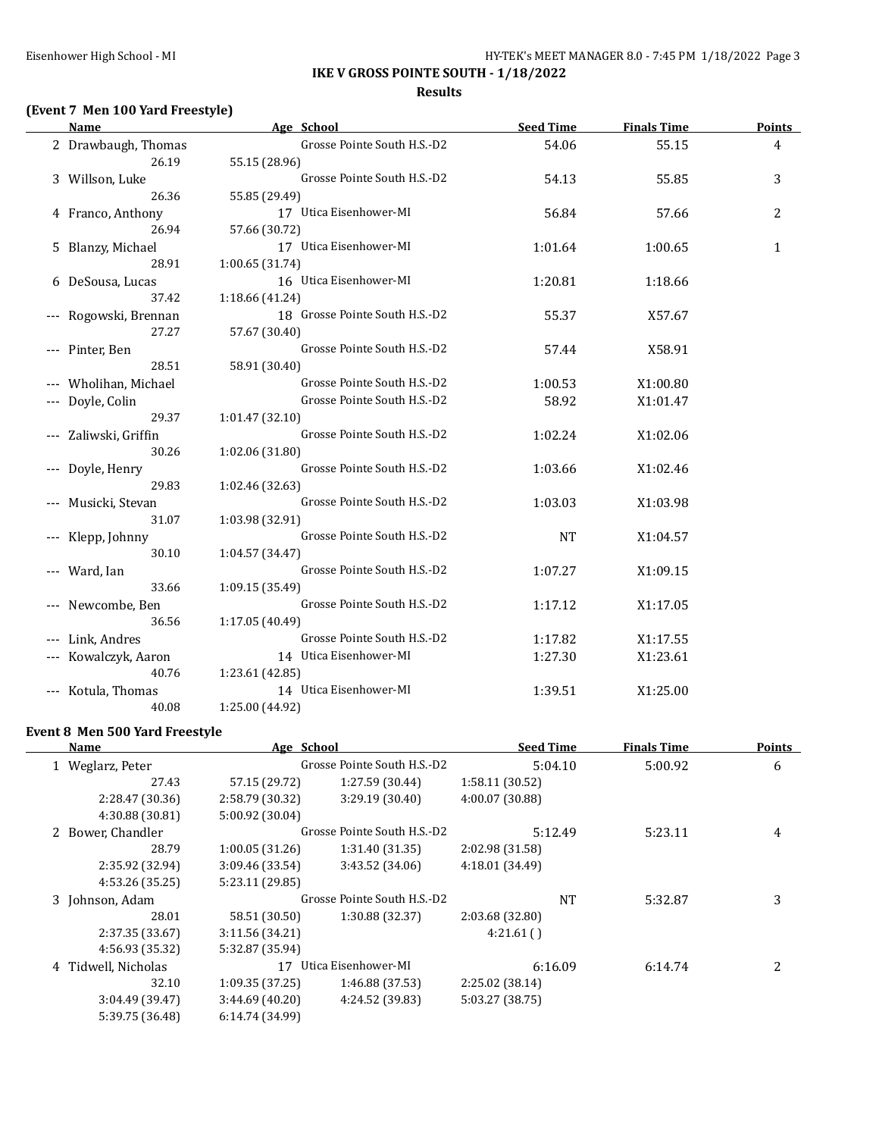#### **Results**

## **(Event 7 Men 100 Yard Freestyle)**

| Name                  | Age School                     | <b>Seed Time</b> | <b>Finals Time</b> | <b>Points</b> |
|-----------------------|--------------------------------|------------------|--------------------|---------------|
| 2 Drawbaugh, Thomas   | Grosse Pointe South H.S.-D2    | 54.06            | 55.15              | 4             |
| 26.19                 | 55.15 (28.96)                  |                  |                    |               |
| 3 Willson, Luke       | Grosse Pointe South H.S.-D2    | 54.13            | 55.85              | 3             |
| 26.36                 | 55.85 (29.49)                  |                  |                    |               |
| 4 Franco, Anthony     | 17 Utica Eisenhower-MI         | 56.84            | 57.66              | 2             |
| 26.94                 | 57.66 (30.72)                  |                  |                    |               |
| 5 Blanzy, Michael     | 17 Utica Eisenhower-MI         | 1:01.64          | 1:00.65            | 1             |
| 28.91                 | 1:00.65 (31.74)                |                  |                    |               |
| 6 DeSousa, Lucas      | 16 Utica Eisenhower-MI         | 1:20.81          | 1:18.66            |               |
| 37.42                 | 1:18.66 (41.24)                |                  |                    |               |
| --- Rogowski, Brennan | 18 Grosse Pointe South H.S.-D2 | 55.37            | X57.67             |               |
| 27.27                 | 57.67 (30.40)                  |                  |                    |               |
| Pinter, Ben           | Grosse Pointe South H.S.-D2    | 57.44            | X58.91             |               |
| 28.51                 | 58.91 (30.40)                  |                  |                    |               |
| Wholihan, Michael     | Grosse Pointe South H.S.-D2    | 1:00.53          | X1:00.80           |               |
| Doyle, Colin          | Grosse Pointe South H.S.-D2    | 58.92            | X1:01.47           |               |
| 29.37                 | 1:01.47 (32.10)                |                  |                    |               |
| Zaliwski, Griffin     | Grosse Pointe South H.S.-D2    | 1:02.24          | X1:02.06           |               |
| 30.26                 | 1:02.06 (31.80)                |                  |                    |               |
| Doyle, Henry          | Grosse Pointe South H.S.-D2    | 1:03.66          | X1:02.46           |               |
| 29.83                 | 1:02.46 (32.63)                |                  |                    |               |
| Musicki, Stevan       | Grosse Pointe South H.S.-D2    | 1:03.03          | X1:03.98           |               |
| 31.07                 | 1:03.98 (32.91)                |                  |                    |               |
| Klepp, Johnny         | Grosse Pointe South H.S.-D2    | <b>NT</b>        | X1:04.57           |               |
| 30.10                 | 1:04.57 (34.47)                |                  |                    |               |
| Ward, Ian             | Grosse Pointe South H.S.-D2    | 1:07.27          | X1:09.15           |               |
| 33.66                 | 1:09.15 (35.49)                |                  |                    |               |
| Newcombe, Ben         | Grosse Pointe South H.S.-D2    | 1:17.12          | X1:17.05           |               |
| 36.56                 | 1:17.05 (40.49)                |                  |                    |               |
| Link, Andres          | Grosse Pointe South H.S.-D2    | 1:17.82          | X1:17.55           |               |
| Kowalczyk, Aaron      | 14 Utica Eisenhower-MI         | 1:27.30          | X1:23.61           |               |
| 40.76                 | 1:23.61 (42.85)                |                  |                    |               |
| Kotula, Thomas        | 14 Utica Eisenhower-MI         | 1:39.51          | X1:25.00           |               |
| 40.08                 | 1:25.00 (44.92)                |                  |                    |               |

### **Event 8 Men 500 Yard Freestyle**

| Name                | Age School      |                             | <b>Seed Time</b> | <b>Finals Time</b> | <b>Points</b> |
|---------------------|-----------------|-----------------------------|------------------|--------------------|---------------|
| 1 Weglarz, Peter    |                 | Grosse Pointe South H.S.-D2 | 5:04.10          | 5:00.92            | 6             |
| 27.43               | 57.15 (29.72)   | 1:27.59 (30.44)             | 1:58.11 (30.52)  |                    |               |
| 2:28.47 (30.36)     | 2:58.79 (30.32) | 3:29.19 (30.40)             | 4:00.07 (30.88)  |                    |               |
| 4:30.88 (30.81)     | 5:00.92 (30.04) |                             |                  |                    |               |
| 2 Bower, Chandler   |                 | Grosse Pointe South H.S.-D2 | 5:12.49          | 5:23.11            | 4             |
| 28.79               | 1:00.05(31.26)  | 1:31.40 (31.35)             | 2:02.98 (31.58)  |                    |               |
| 2:35.92 (32.94)     | 3:09.46 (33.54) | 3:43.52 (34.06)             | 4:18.01 (34.49)  |                    |               |
| 4:53.26 (35.25)     | 5:23.11 (29.85) |                             |                  |                    |               |
| 3 Johnson, Adam     |                 | Grosse Pointe South H.S.-D2 | <b>NT</b>        | 5:32.87            | 3             |
| 28.01               | 58.51 (30.50)   | 1:30.88 (32.37)             | 2:03.68 (32.80)  |                    |               |
| 2:37.35 (33.67)     | 3:11.56(34.21)  |                             | 4:21.61()        |                    |               |
| 4:56.93 (35.32)     | 5:32.87 (35.94) |                             |                  |                    |               |
| 4 Tidwell, Nicholas |                 | 17 Utica Eisenhower-MI      | 6:16.09          | 6:14.74            | 2             |
| 32.10               | 1:09.35(37.25)  | 1:46.88 (37.53)             | 2:25.02 (38.14)  |                    |               |
| 3:04.49 (39.47)     | 3:44.69(40.20)  | 4:24.52 (39.83)             | 5:03.27 (38.75)  |                    |               |
| 5:39.75 (36.48)     | 6:14.74 (34.99) |                             |                  |                    |               |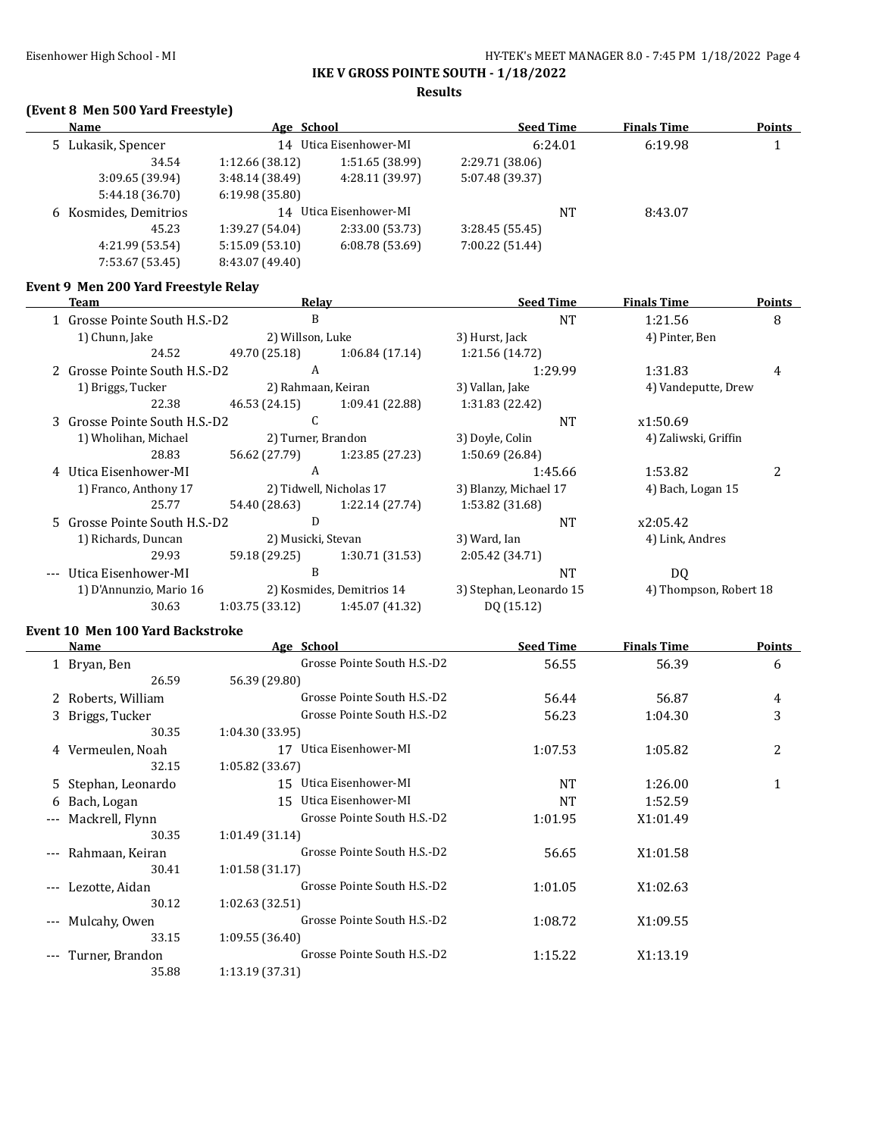**Results**

## **(Event 8 Men 500 Yard Freestyle)**

| Name                  | Age School      |                        | <b>Seed Time</b> | <b>Finals Time</b> | <b>Points</b> |
|-----------------------|-----------------|------------------------|------------------|--------------------|---------------|
| 5 Lukasik, Spencer    |                 | 14 Utica Eisenhower-MI | 6:24.01          | 6:19.98            |               |
| 34.54                 | 1:12.66(38.12)  | 1:51.65 (38.99)        | 2:29.71 (38.06)  |                    |               |
| 3:09.65(39.94)        | 3:48.14(38.49)  | 4:28.11 (39.97)        | 5:07.48 (39.37)  |                    |               |
| 5:44.18 (36.70)       | 6:19.98(35.80)  |                        |                  |                    |               |
| 6 Kosmides, Demitrios | 14              | Utica Eisenhower-MI    | <b>NT</b>        | 8:43.07            |               |
| 45.23                 | 1:39.27 (54.04) | 2:33.00 (53.73)        | 3:28.45(55.45)   |                    |               |
| 4:21.99 (53.54)       | 5:15.09(53.10)  | 6:08.78(53.69)         | 7:00.22 (51.44)  |                    |               |
| 7:53.67 (53.45)       | 8:43.07 (49.40) |                        |                  |                    |               |
|                       |                 |                        |                  |                    |               |

## **Event 9 Men 200 Yard Freestyle Relay**

| Team                          | Relay              |                           | <b>Seed Time</b>        | <b>Finals Time</b>     | <b>Points</b> |
|-------------------------------|--------------------|---------------------------|-------------------------|------------------------|---------------|
| 1 Grosse Pointe South H.S.-D2 | B                  |                           | <b>NT</b>               | 1:21.56                | 8             |
| 1) Chunn, Jake                | 2) Willson, Luke   |                           | 3) Hurst, Jack          | 4) Pinter, Ben         |               |
| 24.52                         | 49.70 (25.18)      | 1:06.84(17.14)            | 1:21.56 (14.72)         |                        |               |
| 2 Grosse Pointe South H.S.-D2 | A                  |                           | 1:29.99                 | 1:31.83                | 4             |
| 1) Briggs, Tucker             | 2) Rahmaan, Keiran |                           | 3) Vallan, Jake         | 4) Vandeputte, Drew    |               |
| 22.38                         | 46.53 (24.15)      | 1:09.41 (22.88)           | 1:31.83 (22.42)         |                        |               |
| 3 Grosse Pointe South H.S.-D2 | C                  |                           | <b>NT</b>               | x1:50.69               |               |
| 1) Wholihan, Michael          | 2) Turner, Brandon |                           | 3) Doyle, Colin         | 4) Zaliwski, Griffin   |               |
| 28.83                         | 56.62 (27.79)      | 1:23.85 (27.23)           | 1:50.69 (26.84)         |                        |               |
| 4 Utica Eisenhower-MI         | A                  |                           | 1:45.66                 | 1:53.82                | 2             |
| 1) Franco, Anthony 17         |                    | 2) Tidwell, Nicholas 17   | 3) Blanzy, Michael 17   | 4) Bach, Logan 15      |               |
| 25.77                         | 54.40 (28.63)      | 1:22.14 (27.74)           | 1:53.82 (31.68)         |                        |               |
| 5 Grosse Pointe South H.S.-D2 | D                  |                           | NT                      | x2:05.42               |               |
| 1) Richards, Duncan           | 2) Musicki, Stevan |                           | 3) Ward, Ian            | 4) Link, Andres        |               |
| 29.93                         | 59.18 (29.25)      | 1:30.71 (31.53)           | 2:05.42 (34.71)         |                        |               |
| Utica Eisenhower-MI           | B                  |                           | <b>NT</b>               | DQ                     |               |
| 1) D'Annunzio, Mario 16       |                    | 2) Kosmides, Demitrios 14 | 3) Stephan, Leonardo 15 | 4) Thompson, Robert 18 |               |
| 30.63                         | 1:03.75(33.12)     | 1:45.07 (41.32)           | DQ (15.12)              |                        |               |

## **Event 10 Men 100 Yard Backstroke**

|       | Name                | Age School                  | <b>Seed Time</b> | <b>Finals Time</b> | <b>Points</b> |
|-------|---------------------|-----------------------------|------------------|--------------------|---------------|
|       | 1 Bryan, Ben        | Grosse Pointe South H.S.-D2 | 56.55            | 56.39              | 6             |
|       | 26.59               | 56.39 (29.80)               |                  |                    |               |
|       | 2 Roberts, William  | Grosse Pointe South H.S.-D2 | 56.44            | 56.87              | 4             |
|       | 3 Briggs, Tucker    | Grosse Pointe South H.S.-D2 | 56.23            | 1:04.30            | 3             |
|       | 30.35               | 1:04.30 (33.95)             |                  |                    |               |
|       | 4 Vermeulen, Noah   | Utica Eisenhower-MI<br>17   | 1:07.53          | 1:05.82            | 2             |
|       | 32.15               | 1:05.82 (33.67)             |                  |                    |               |
|       | 5 Stephan, Leonardo | 15 Utica Eisenhower-MI      | <b>NT</b>        | 1:26.00            | $\mathbf{1}$  |
|       | 6 Bach, Logan       | Utica Eisenhower-MI<br>15   | NT               | 1:52.59            |               |
| $---$ | Mackrell, Flynn     | Grosse Pointe South H.S.-D2 | 1:01.95          | X1:01.49           |               |
|       | 30.35               | 1:01.49(31.14)              |                  |                    |               |
| $---$ | Rahmaan, Keiran     | Grosse Pointe South H.S.-D2 | 56.65            | X1:01.58           |               |
|       | 30.41               | 1:01.58(31.17)              |                  |                    |               |
| $---$ | Lezotte, Aidan      | Grosse Pointe South H.S.-D2 | 1:01.05          | X1:02.63           |               |
|       | 30.12               | 1:02.63(32.51)              |                  |                    |               |
| $---$ | Mulcahy, Owen       | Grosse Pointe South H.S.-D2 | 1:08.72          | X1:09.55           |               |
|       | 33.15               | 1:09.55(36.40)              |                  |                    |               |
| $---$ | Turner, Brandon     | Grosse Pointe South H.S.-D2 | 1:15.22          | X1:13.19           |               |
|       | 35.88               | 1:13.19(37.31)              |                  |                    |               |